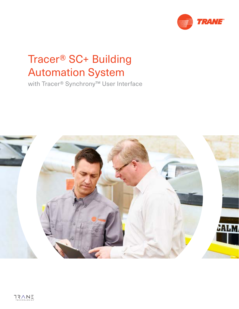

# Tracer® SC+ Building Automation System

with Tracer® Synchrony™ User Interface

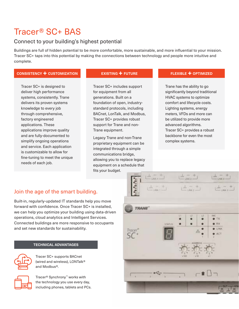# Tracer® SC+ BAS

## Connect to your building's highest potential

Buildings are full of hidden potential to be more comfortable, more sustainable, and more influential to your mission. Tracer SC+ taps into this potential by making the connections between technology and people more intuitive and complete.

### **CONSISTENCY + CUSTOMIZATION**

Tracer SC+ is designed to deliver high performance systems, consistently. Trane delivers its proven systems knowledge to every job through comprehensive, factory engineered applications. These applications improve quality and are fully-documented to simplify ongoing operations and service. Each application is customizable to allow for fine-tuning to meet the unique needs of each job.

#### **EXISTING + FUTURE**

Tracer SC+ includes support for equipment from all generations. Built on a foundation of open, industrystandard protocols, including BACnet, LonTalk, and Modbus, Tracer SC+ provides robust support for Trane and non-Trane equipment.

Legacy Trane and non-Trane proprietary equipment can be integrated through a simple communications bridge, allowing you to replace legacy equipment on a schedule that fits your budget.

#### **FLEXIBLE + OPTIMIZED**

Trane has the ability to go significantly beyond traditional HVAC systems to optimize comfort and lifecycle costs. Lighting systems, energy meters, VFDs and more can be utilized to provide more advanced algorithms. Tracer SC+ provides a robust backbone for even the most complex systems.

## Join the age of the smart building.

Built-in, regularly-updated IT standards help you move forward with confidence. Once Tracer SC+ is installed, we can help you optimize your building using data-driven operations, cloud analytics and Intelligent Services. Connected buildings are more responsive to occupants and set new standards for sustainability.

### **TECHNICAL ADVANTAGES**



Tracer SC+ supports BACnet (wired and wireless), LONTalk® and Modbus®.

Tracer® Synchrony™ works with the technology you use every day, including phones, tablets and PCs.

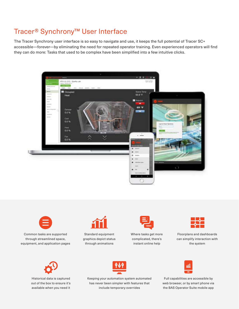## Tracer® Synchrony™ User Interface

The Tracer Synchrony user interface is so easy to navigate and use, it keeps the full potential of Tracer SC+ accessible—forever—by eliminating the need for repeated operator training. Even experienced operators will find they can do more: Tasks that used to be complex have been simplified into a few intuitive clicks.





Common tasks are supported through streamlined space, equipment, and application pages



Standard equipment graphics depict status through animations



Where tasks get more complicated, there's instant online help



Floorplans and dashboards can simplify interaction with the system



Historical data is captured out of the box to ensure it's available when you need it



Keeping your automation system automated has never been simpler with features that include temporary overrides



Full capabilities are accessible by web browser, or by smart phone via the BAS Operator Suite mobile app